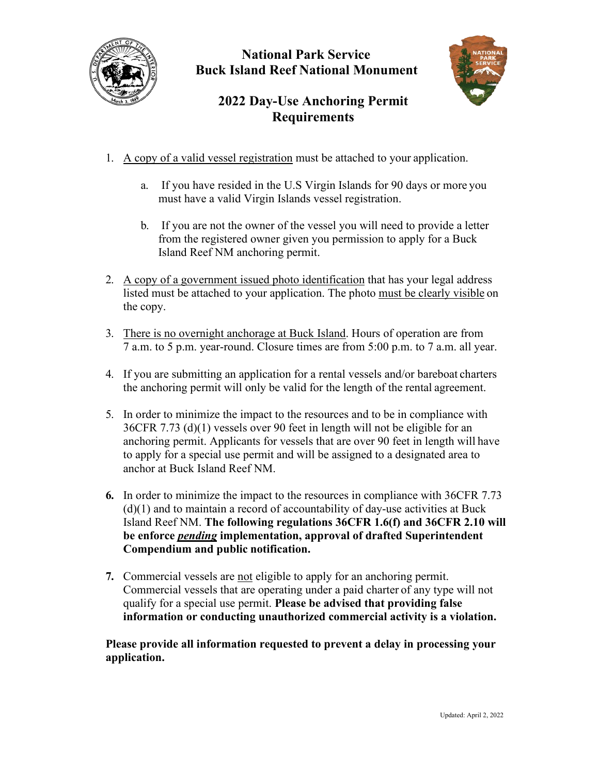

### **National Park Service Buck Island Reef National Monument**



# **2022 Day-Use Anchoring Permit Requirements**

- 1. A copy of a valid vessel registration must be attached to your application.
	- a. If you have resided in the U.S Virgin Islands for 90 days or more you must have a valid Virgin Islands vessel registration.
	- b. If you are not the owner of the vessel you will need to provide a letter from the registered owner given you permission to apply for a Buck Island Reef NM anchoring permit.
- 2. A copy of a government issued photo identification that has your legal address listed must be attached to your application. The photo must be clearly visible on the copy.
- 3. There is no overnight anchorage at Buck Island. Hours of operation are from 7 a.m. to 5 p.m. year-round. Closure times are from 5:00 p.m. to 7 a.m. all year.
- 4. If you are submitting an application for a rental vessels and/or bareboat charters the anchoring permit will only be valid for the length of the rental agreement.
- 5. In order to minimize the impact to the resources and to be in compliance with 36CFR 7.73 (d)(1) vessels over 90 feet in length will not be eligible for an anchoring permit. Applicants for vessels that are over 90 feet in length will have to apply for a special use permit and will be assigned to a designated area to anchor at Buck Island Reef NM.
- **6.** In order to minimize the impact to the resources in compliance with 36CFR 7.73  $(d)(1)$  and to maintain a record of accountability of day-use activities at Buck Island Reef NM. **The following regulations 36CFR 1.6(f) and 36CFR 2.10 will be enforce** *pending* **implementation, approval of drafted Superintendent Compendium and public notification.**
- **7.** Commercial vessels are not eligible to apply for an anchoring permit. Commercial vessels that are operating under a paid charter of any type will not qualify for a special use permit. **Please be advised that providing false information or conducting unauthorized commercial activity is a violation.**

**Please provide all information requested to prevent a delay in processing your application.**